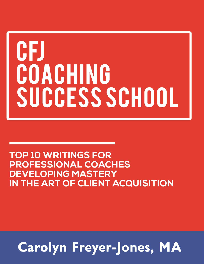# CFJ COACHING SUCCESS SCHOOL

### **TOP 10 WRITINGS FOR PROFESSIONAL COACHES DEVELOPING MASTERY** IN THE ART OF CLIENT ACQUISITION

# **Carolyn Freyer-Jones, MA**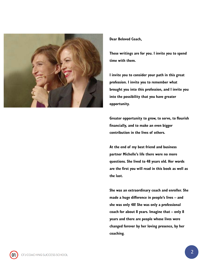

#### Dear Beloved Coach,

These writings are for you. I invite you to spend time with them.

I invite you to consider your path in this great profession. I invite you to remember what brought you into this profession, and I invite you into the possibility that you have greater opportunity.

Greater opportunity to grow, to serve, to flourish financially, and to make an even bigger contribution in the lives of others.

At the end of my best friend and business partner Michelle's life there were no more questions. She lived to 48 years old. Her words are the first you will read in this book as well as the last.

She was an extraordinary coach and enroller. She made a huge difference in people's lives – and she was only 48! She was only a professional coach for about 8 years. Imagine that – only 8 years and there are people whose lives were changed forever by her loving presence, by her coaching.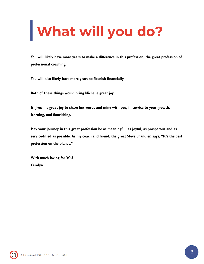# **What will you do?**

You will likely have more years to make a difference in this profession, the great profession of professional coaching.

You will also likely have more years to flourish financially.

Both of these things would bring Michelle great joy.

It gives me great joy to share her words and mine with you, in service to your growth, learning, and flourishing.

May your journey in this great profession be as meaningful, as joyful, as prosperous and as service-filled as possible. As my coach and friend, the great Steve Chandler, says, "It's the best profession on the planet."

With much loving for YOU, Carolyn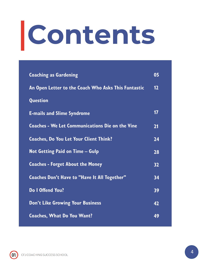# **Contents**

| <b>Coaching as Gardening</b>                           | 05 |
|--------------------------------------------------------|----|
| An Open Letter to the Coach Who Asks This Fantastic    | 12 |
| Question                                               |    |
| <b>E-mails and Slime Syndrome</b>                      | 17 |
| <b>Coaches - We Let Communications Die on the Vine</b> | 21 |
| <b>Coaches, Do You Let Your Client Think?</b>          | 24 |
| <b>Not Getting Paid on Time - Gulp</b>                 | 28 |
| <b>Coaches - Forget About the Money</b>                | 32 |
| <b>Coaches Don't Have to "Have It All Together"</b>    | 34 |
| Do I Offend You?                                       | 39 |
| <b>Don't Like Growing Your Business</b>                | 42 |
| <b>Coaches, What Do You Want?</b>                      | 49 |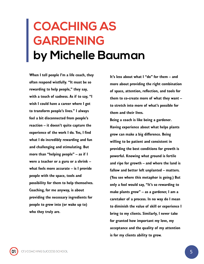### <span id="page-4-0"></span>**COACHING AS GARDENING by Michelle Bauman**

When I tell people I'm a life coach, they often respond wistfully. "It must be so rewarding to help people," they say, with a touch of sadness. As if to say, "I wish I could have a career where I got to transform people's lives." I always feel a bit disconnected from people's reaction – it doesn't quite capture the experience of the work I do. Yes, I find what I do incredibly rewarding and fun and challenging and stimulating. But more than "helping people"  $-$  as if I were a teacher or a guru or a shrink – what feels more accurate – is I provide people with the space, tools and possibility for them to help themselves. Coaching, for me anyway, is about providing the necessary ingredients for people to grow into (or wake up to) who they truly are.

It's less about what I "do" for them – and more about providing the right combination of space, attention, reflection, and tools for them to co-create more of what they want – to stretch into more of what's possible for them and their lives.

Being a coach is like being a gardener. Having experience about what helps plants grow can make a big difference. Being willing to be patient and consistent in providing the best conditions for growth is powerful. Knowing what ground is fertile and ripe for growth – and where the land is fallow and better left unplanted – matters. (You see where this metaphor is going.) But only a fool would say, "It's so rewarding to make plants grow" – as a gardener, I am a caretaker of a process. In no way do I mean to diminish the value of skill or experience I bring to my clients. Similarly, I never take for granted how important my love, my acceptance and the quality of my attention is for my clients ability to grow.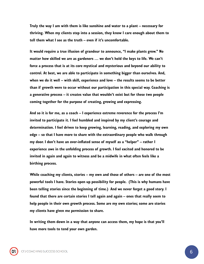Truly the way I am with them is like sunshine and water to a plant – necessary for thriving. When my clients step into a session, they know I care enough about them to tell them what I see as the truth – even if it's uncomfortable.

It would require a true illusion of grandeur to announce, "I make plants grow." No matter how skilled we are as gardeners … we don't hold the keys to life. We can't force a process that is at its core mystical and mysterious and beyond our ability to control. At best, we are able to participate in something bigger than ourselves. And, when we do it well – with skill, experience and love – the results seems to be better than if growth were to occur without our participation in this special way. Coaching is a generative process – it creates value that wouldn't exist but for these two people coming together for the purpose of creating, growing and expressing.

And so it is for me, as a coach – I experience extreme reverence for the process I'm invited to participate it. I feel humbled and inspired by my client's courage and determination. I feel driven to keep growing, learning, reading, and exploring my own edge – so that I have more to share with the extraordinary people who walk through my door. I don't have an over-inflated sense of myself as a "helper" – rather I experience awe in the unfolding process of growth. I feel excited and honored to be invited in again and again to witness and be a midwife in what often feels like a birthing process.

While coaching my clients, stories – my own and those of others – are one of the most powerful tools I have. Stories open up possibility for people. (This is why humans have been telling stories since the beginning of time.) And we never forget a good story. I found that there are certain stories I tell again and again – ones that really seem to help people in their own growth process. Some are my own stories; some are stories my clients have given me permission to share.

In writing them down in a way that anyone can access them, my hope is that you'll have more tools to tend your own garden.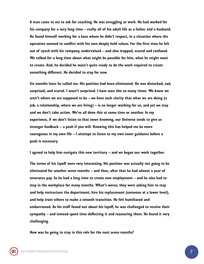A man came to me to ask for coaching. He was struggling at work. He had worked for his company for a very long time – really all of his adult life as a father and a husband. He found himself working for a boss whom he didn't respect, in a situation where the operation seemed to conflict with his own deeply held values. For the first time he felt out of synch with his company, undervalued – and also trapped, scared and confused. We talked for a long time about what might be possible for him, what he might want to create. And, he decided he wasn't quite ready to do the work required to create something different. He decided to stay for now.

Six months later he called me. His position had been eliminated. He was disturbed, sad, surprised, and scared. I wasn't surprised. I have seen this so many times. We know we aren't where we are supposed to be – we have such clarity that what we are doing (a job, a relationship, where we are living) – is no longer working for us, and yet we stay and we don't take action. We've all done this at some time or another. In my experience, if we don't listen to that inner knowing, our Universe tends to give us stronger feedback – a push if you will. Knowing this has helped me be more courageous in my own life – I attempt to listen to my own inner guidance before a push is necessary.

I agreed to help him navigate this new territory – and we began our work together.

The terms of his layoff were very interesting. His position was actually not going to be eliminated for another seven months – and then, after that he had almost a year of severance pay. So he had a long time to create new employment – and he also had to stay in the workplace for many months. What's worse, they were asking him to stay and help restructure the department, hire his replacement (someone at a lower level), and help train others to make a smooth transition. He felt humiliated and embarrassed. As his staff found out about his layoff, he was challenged to receive their sympathy – and instead spent time deflecting it and reassuring them. He found it very challenging.

How was he going to stay in this role for the next seven months?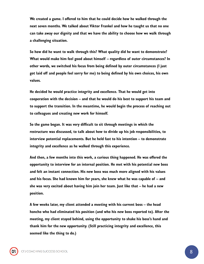We created a game. I offered to him that he could decide how he walked through the next seven months. We talked about Viktor Frankel and how he taught us that no one can take away our dignity and that we have the ability to choose how we walk through a challenging situation.

So how did he want to walk through this? What quality did he want to demonstrate? What would make him feel good about himself – regardless of outer circumstances? In other words, we switched his focus from being defined by outer circumstances (I just got laid off and people feel sorry for me) to being defined by his own choices, his own values.

He decided he would practice integrity and excellence. That he would get into cooperation with the decision – and that he would do his best to support his team and to support the transition. In the meantime, he would begin the process of reaching out to colleagues and creating new work for himself.

So the game began. It was very difficult to sit through meetings in which the restructure was discussed, to talk about how to divide up his job responsibilities, to interview potential replacements. But he held fast to his intention – to demonstrate integrity and excellence as he walked through this experience.

And then, a few months into this work, a curious thing happened. He was offered the opportunity to interview for an internal position. He met with his potential new boss and felt an instant connection. His new boss was much more aligned with his values and his focus. She had known him for years, she knew what he was capable of – and she was very excited about having him join her team. Just like that – he had a new position.

A few weeks later, my client attended a meeting with his current boss – the head honcho who had eliminated his position (and who his new boss reported to). After the meeting, my client stayed behind, using the opportunity to shake his boss's hand and thank him for the new opportunity. (Still practicing integrity and excellence, this seemed like the thing to do.)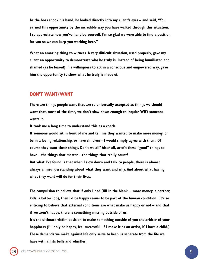As the boss shook his hand, he looked directly into my client's eyes – and said, "You earned this opportunity by the incredible way you have walked through this situation. I so appreciate how you've handled yourself. I'm so glad we were able to find a position for you so we can keep you working here."

What an amazing thing to witness. A very difficult situation, used properly, gave my client an opportunity to demonstrate who he truly is. Instead of being humiliated and shamed (as he feared), his willingness to act in a conscious and empowered way, gave him the opportunity to show what he truly is made of.

#### DON'T WANT/WANT

There are things people want that are so universally accepted as things we should want that, most of the time, we don't slow down enough to inquire WHY someone wants it.

It took me a long time to understand this as a coach.

If someone would sit in front of me and tell me they wanted to make more money, or be in a loving relationship, or have children – I would simply agree with them. Of course they want these things. Don't we all? After all, aren't these "good" things to have – the things that matter – the things that really count? But what I've found is that when I slow down and talk to people, there is almost always a misunderstanding about what they want and why. And about what having what they want will do for their lives.

The compulsion to believe that if only I had (fill in the blank ... more money, a partner, kids, a better job), then I'd be happy seems to be part of the human condition. It's so enticing to believe that external conditions are what make us happy or not – and that if we aren't happy, there is something missing outside of us.

It's the ultimate victim position to make something outside of you the arbiter of your happiness (I'll only be happy, feel successful, if I make it as an artist, if I have a child.) These demands we make against life only serve to keep us separate from the life we have with all its bells and whistles!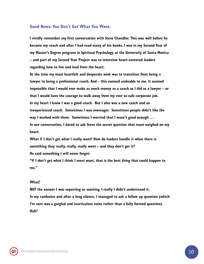#### Good News: You Don't Get What You Want.

I vividly remember my first conversation with Steve Chandler. This was well before he became my coach and after I had read many of his books. I was in my Second Year of my Master's Degree program in Spiritual Psychology at the University of Santa Monica – and part of my Second Year Project was to interview heart-centered leaders regarding how to live and lead from the heart.

At the time my most heartfelt and desperate wish was to transition from being a lawyer to being a professional coach. And – this seemed undoable to me. It seemed impossible that I would ever make as much money as a coach as I did as a lawyer – or that I would have the courage to walk away from my ever so safe corporate job. In my heart I knew I was a good coach. But I also was a new coach and an inexperienced coach. Sometimes I was overeager. Sometimes people didn't like the way I worked with them. Sometimes I worried that I wasn't good enough … In our conversation, I dared to ask Steve the secret question that most weighed on my heart.

What if I don't get what I really want? How do leaders handle it when there is something they really, really, really want – and they don't get it? He said something I will never forget:

"If I don't get what I think I most want, that is the best thing that could happen to me"

#### What?

NOT the answer I was expecting or wanting. I really I didn't understand it. In my confusion and after a long silence, I managed to ask a follow up question (which I'm sure was a gargled and inarticulate noise rather than a fully formed question). Huh?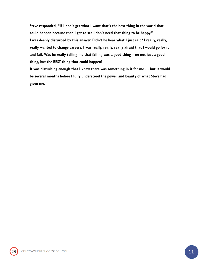Steve responded, "If I don't get what I want that's the best thing in the world that could happen because then I get to see I don't need that thing to be happy." I was deeply disturbed by this answer. Didn't he hear what I just said? I really, really, really wanted to change careers. I was really, really, really afraid that I would go for it and fail. Was he really telling me that failing was a good thing – no not just a good thing, but the BEST thing that could happen?

It was disturbing enough that I knew there was something in it for me … but it would be several months before I fully understood the power and beauty of what Steve had given me.

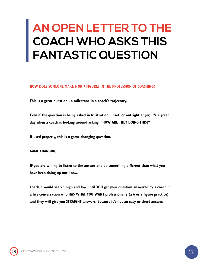### <span id="page-11-0"></span>**AN OPEN LETTER TO THE COACH WHO ASKS THIS FANTASTIC QUESTION**

HOW DOES SOMEONE MAKE 6 OR 7 FIGURES IN THE PROFESSION OF COACHING?

This is a great question - a milestone in a coach's trajectory.

Even if the question is being asked in frustration, upset, or outright anger, it's a great day when a coach is looking around asking, "HOW ARE THEY DOING THIS?"

If used properly, this is a game changing question.

GAME CHANGING.

IF you are willing to listen to the answer and do something different than what you have been doing up until now.

Coach, I would search high and low until YOU get your question answered by a coach in a live conversation who HAS WHAT YOU WANT professionally (a 6 or 7 figure practice) and they will give you STRAIGHT answers. Because it's not an easy or short answer.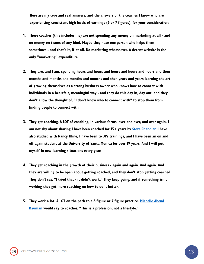Here are my true and real answers, and the answers of the coaches I know who are experiencing consistent high levels of earnings (6 or 7 figures), for your consideration:

- 1. These coaches (this includes me) are not spending any money on marketing at all and no money on teams of any kind. Maybe they have one person who helps them sometimes - and that's it, if at all. No marketing whatsoever. A decent website is the only "marketing" expenditure.
- 2. They are, and I am, spending hours and hours and hours and hours and hours and then months and months and months and months and then years and years learning the art of growing themselves as a strong business owner who knows how to connect with individuals in a heartfelt, meaningful way - and they do this day in, day out, and they don't allow the thought of, "I don't know who to connect with" to stop them from finding people to connect with.
- 3. They get coaching. A LOT of coaching, in various forms, over and over, and over again. I am not shy about sharing I have been coached for 15+ years by [Steve Chandler.](https://www.carolynfreyerjones.com/steve-chandler) I have also studied with Nancy Kline, I have been to 3Ps trainings, and I have been an on and off again student at the University of Santa Monica for over 19 years. And I will put myself in new learning situations every year.
- 4. They get coaching in the growth of their business again and again. And again. And they are willing to be open about getting coached, and they don't stop getting coached. They don't say, "I tried that - it didn't work." They keep going, and if something isn't working they get more coaching on how to do it better.
- 5. They work a lot. A LOT on the path to a 6 figure or 7 figure practice. Michelle Abend Bauman would say to coaches, "This is a profession, not a lifestyle."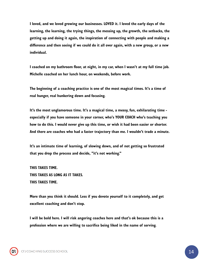I loved, and we loved growing our businesses. LOVED it. I loved the early days of the learning, the learning, the trying things, the messing up, the growth, the setbacks, the getting up and doing it again, the inspiration of connecting with people and making a difference and then seeing if we could do it all over again, with a new group, or a new individual.

I coached on my bathroom floor, at night, in my car, when I wasn't at my full time job. Michelle coached on her lunch hour, on weekends, before work.

The beginning of a coaching practice is one of the most magical times. It's a time of real hunger, real hunkering down and focusing.

It's the most unglamorous time. It's a magical time, a messy, fun, exhilarating time especially if you have someone in your corner, who's YOUR COACH who's teaching you how to do this. I would never give up this time, or wish it had been easier or shorter. And there are coaches who had a faster trajectory than me. I wouldn't trade a minute.

It's an intimate time of learning, of slowing down, and of not getting so frustrated that you drop the process and decide, "it's not working."

THIS TAKES TIME. THIS TAKES AS LONG AS IT TAKES. THIS TAKES TIME.

More than you think it should. Less if you devote yourself to it completely, and get excellent coaching and don't stop.

I will be bold here. I will risk angering coaches here and that's ok because this is a profession where we are willing to sacrifice being liked in the name of serving.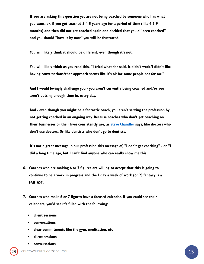If you are asking this question yet are not being coached by someone who has what you want, or, if you got coached 3-4-5 years ago for a period of time (like 4-6-9 months) and then did not get coached again and decided that you'd "been coached" and you should "have it by now" you will be frustrated.

You will likely think it should be different, even though it's not.

You will likely think as you read this, "I tried what she said. It didn't work/I didn't like having conversations/that approach seems like it's ok for some people not for me."

And I would lovingly challenge you - you aren't currently being coached and/or you aren't putting enough time in, every day.

And - even though you might be a fantastic coach, you aren't serving the profession by not getting coached in an ongoing way. Because coaches who don't get coaching on their businesses or their lives consistently are, as **Steve Chandler** says, like doctors who don't use doctors. Or like dentists who don't go to dentists.

It's not a great message in our profession this message of, "I don't get coaching" - or "I did a long time ago, but I can't find anyone who can really show me this.

- 6. Coaches who are making 6 or 7 figures are willing to accept that this is going to continue to be a work in progress and the 1 day a week of work (or 2) fantasy is a FANTASY.
- 7. Coaches who make 6 or 7 figures have a focused calendar. If you could see their calendars, you'd see it's filled with the following:
	- client sessions
	- conversations
	- clear commitments like the gym, meditation, etc
	- client sessions
	- **conversations**

CFJ COACHING SUCCESS SCHOOL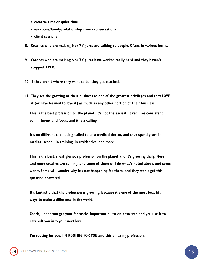- creative time or quiet time
- vacations/family/relationship time conversations
- client sessions
- 8. Coaches who are making 6 or 7 figures are talking to people. Often. In various forms.
- 9. Coaches who are making 6 or 7 figures have worked really hard and they haven't stopped. EVER.
- 10. If they aren't where they want to be, they get coached.
- 11. They see the growing of their business as one of the greatest privileges and they LOVE it (or have learned to love it) as much as any other portion of their business.

This is the best profession on the planet. It's not the easiest. It requires consistent commitment and focus, and it is a calling.

It's no different than being called to be a medical doctor, and they spend years in medical school, in training, in residencies, and more.

This is the best, most glorious profession on the planet and it's growing daily. More and more coaches are coming, and some of them will do what's noted above, and some won't. Some will wonder why it's not happening for them, and they won't get this question answered.

It's fantastic that the profession is growing. Because it's one of the most beautiful ways to make a difference in the world.

Coach, I hope you get your fantastic, important question answered and you use it to catapult you into your next level.

I'm rooting for you. I'M ROOTING FOR YOU and this amazing profession.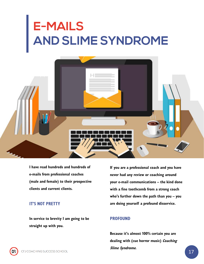# <span id="page-16-0"></span>**E-MAILS AND SLIME SYNDROME**



I have read hundreds and hundreds of e-mails from professional coaches (male and female) to their prospective clients and current clients.

#### IT'S NOT PRETTY

In service to brevity I am going to be straight up with you.

If you are a professional coach and you have never had any review or coaching around your e-mail communications – the kind done with a fine toothcomb from a strong coach who's further down the path than you – you are doing yourself a profound disservice.

#### PROFOUND

Because it's almost 100% certain you are dealing with (cue horror music) Coaching Slime Syndrome.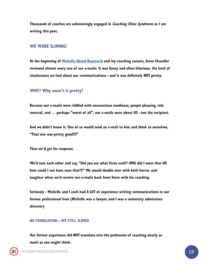Thousands of coaches are unknowingly engaged in *Coaching Slime Syndrome* as I am writing this post.

#### WE WERE SLIMING!

At the beginning of [Michelle Abend Bauman'](https://www.facebook.com/michelle.bauman?fref=mentions)s and my coaching careers, Steve Chandler reviewed almost every one of our e-mails. It was funny and often hilarious, the level of cluelessness we had about our communications - and it was definitely NOT pretty.

#### WHY? Why wasn't it pretty?

Because our e-mails were riddled with unconscious neediness, people pleasing, role reversal, and … perhaps "worst of all", our e-mails were about US - not the recipient.

And we didn't know it. One of us would send an e-mail to him and think to ourselves, "That one was pretty good!!!!"

Then we'd get his response.

We'd text each other and say, "Did you see what Steve said?? OMG did I mess that UP, how could I not have seen that?!!" We would double over with both horror and laughter when we'd receive our e-mails back from Steve with his coaching.

Seriously - Michelle and I each had A LOT of experience writing communications in our former professional lives (Michelle was a lawyer, and I was a university admissions director).

#### NO TRANSLATION—WE STILL SLIMED

Our former experience did NOT translate into the profession of coaching nearly as much as one might think.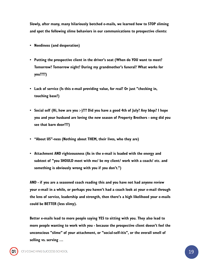Slowly, after many, many hilariously botched e-mails, we learned how to STOP sliming and spot the following slime behaviors in our communications to prospective clients:

- Neediness (and desperation)
- Putting the prospective client in the driver's seat (When do YOU want to meet? Tomorrow? Tomorrow night? During my grandmother's funeral? What works for you????)
- Lack of service (Is this e-mail providing value, for real? Or just "checking in, touching base?)
- Social self (Hi, how are you :-)??? Did you have a good 4th of July? Any bbqs? I hope you and your husband are loving the new season of Property Brothers - omg did you see that barn door???)
- "About US"-ness (Nothing about THEM, their lives, who they are)
- Attachment AND righteousness (As in the e-mail is loaded with the energy and subtext of "you SHOULD meet with me/ be my client/ work with a coach/ etc. and something is obviously wrong with you if you don't.")

AND - if you are a seasoned coach reading this and you have not had anyone review your e-mail in a while, or perhaps you haven't had a coach look at your e-mail through the lens of service, leadership and strength, then there's a high likelihood your e-mails could be BETTER (less slimy).

Better e-mails lead to more people saying YES to sitting with you. They also lead to more people wanting to work with you - because the prospective client doesn't feel the unconscious "slime" of your attachment, or "social-self-itis", or the overall smell of selling vs. serving …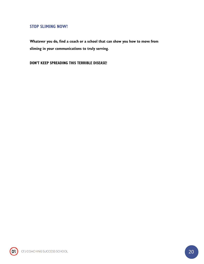#### STOP SLIMING NOW!

Whatever you do, find a coach or a school that can show you how to move from sliming in your communications to truly serving.

DON'T KEEP SPREADING THIS TERRIBLE DISEASE!

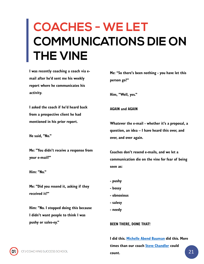### <span id="page-20-0"></span>**COACHES - WE LET COMMUNICATIONS DIE ON THE VINE**

I was recently coaching a coach via email after he'd sent me his weekly report where he communicates his activity.

I asked the coach if he'd heard back from a prospective client he had mentioned in his prior report.

He said, "No."

Me: "You didn't receive a response from your e-mail?"

Him: "No."

Me: "Did you resend it, asking if they received it?"

Him: "No. I stopped doing this because I didn't want people to think I was pushy or sales-ey."

Me: "So there's been nothing - you have let this person go?"

Him, "Well, yes."

AGAIN and AGAIN

Whatever the e-mail - whether it's a proposal, a question, an idea – I have heard this over, and over, and over again.

Coaches don't resend e-mails, and we let a communication die on the vine for fear of being seen as:

- pushy
- bossy
- obnoxious
- salesy
- needy

#### BEEN THERE, DONE THAT!

I did this. [Michelle Abend Bauman](https://www.facebook.com/michelle.bauman?fref=mentions) did this. More times than our coach [Steve Chandler](https://www.carolynfreyerjones.com/steve-chandler) could count.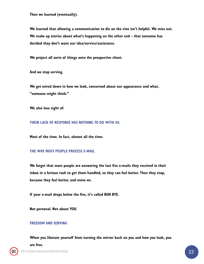Then we learned (eventually).

We learned that allowing a communication to die on the vine isn't helpful. We miss out. We make up stories about what's happening on the other end – that someone has decided they don't want our idea/service/assistance.

We project all sorts of things onto the prospective client.

And we stop serving.

We get mired down in how we look, concerned about our appearance and what, "someone might think."

We also lose sight of:

THEIR LACK OF RESPONSE HAS NOTHING TO DO WITH US.

Most of the time. In fact, almost all the time.

#### THE WAY MOST PEOPLE PROCESS E-MAIL

We forget that most people are answering the last five e-mails they received in their inbox in a furious rush to get them handled, so they can feel better. Then they stop, because they feel better, and move on.

If your e-mail drops below the five, it's called BUH BYE.

Not personal. Not about YOU.

#### FREEDOM AND SERVING

CFJ

When you liberate yourself from turning the mirror back on you and how you look, you are free.CFJ COACHING SUCCESS SCHOOL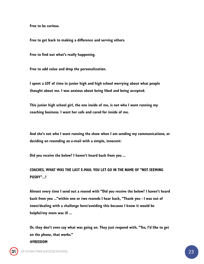Free to be curious.

Free to get back to making a difference and serving others.

Free to find out what's really happening.

Free to add value and drop the personalization.

I spent a LOT of time in junior high and high school worrying about what people thought about me. I was anxious about being liked and being accepted.

This junior high school girl, the one inside of me, is not who I want running my coaching business. I want her safe and cared for inside of me.

And she's not who I want running the show when I am sending my communications, or deciding on resending an e-mail with a simple, innocent:

Did you receive the below? I haven't heard back from you ...

COACHES, WHAT WAS THE LAST E-MAIL YOU LET GO IN THE NAME OF "NOT SEEMING PUSHY"...?

Almost every time I send out a resend with "Did you receive the below? I haven't heard back from you ..."within one or two resends I hear back, "Thank you - I was out of town/dealing with a challenge here/avoiding this because I know it would be helpful/my mom was ill ...

Or, they don't even say what was going on. They just respond with, "Yes, I'd like to get on the phone, that works." #FREEDOM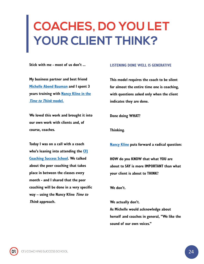## <span id="page-23-0"></span>**COACHES, DO YOU LET YOUR CLIENT THINK?**

Stick with me - most of us don't ...

My business partner and best friend [Michelle Abend Bauman](https://www.facebook.com/michelle.bauman?fref=mentions) and I spent 3 [years training with Nancy Kline in the](http://www.timetothink.com/) Time to Think model.

We loved this work and brought it into our own work with clients and, of course, coaches.

Today I was on a call with a coach who's leaning into attending the CF [Coaching Success School. We talked](https://www.carolynfreyerjones.com/coaching-success-school)  about the peer coaching that takes place in between the classes every month - and I shared that the peer coaching will be done in a very specific way – using the Nancy Kline *Time to* Think approach.

#### LISTENING DONE WELL IS GENERATIVE

This model requires the coach to be silent for almost the entire time one is coaching, with questions asked only when the client indicates they are done.

Done doing WHAT?

Thinking.

[Nancy Kline](http://www.timetothink.com/meet-us/nancy-kline/) puts forward a radical question:

HOW do you KNOW that what YOU are about to SAY is more IMPORTANT than what your client is about to THINK?

We don't.

We actually don't. As Michelle would acknowledge about herself and coaches in general, "We like the sound of our own voices."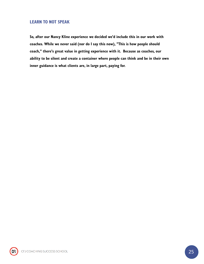#### LEARN TO NOT SPEAK

So, after our Nancy Kline experience we decided we'd include this in our work with coaches. While we never said (nor do I say this now), "This is how people should coach," there's great value in getting experience with it. Because as coaches, our ability to be silent and create a container where people can think and be in their own inner guidance is what clients are, in large part, paying for.

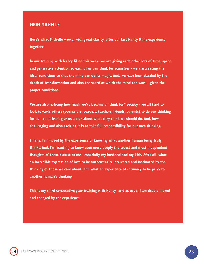#### FROM MICHELLE

Here's what Michelle wrote, with great clarity, after our last Nancy Kline experience together:

In our training with Nancy Kline this week, we are giving each other lots of time, space and generative attention so each of us can think for ourselves - we are creating the ideal conditions so that the mind can do its magic. And, we have been dazzled by the depth of transformation and also the speed at which the mind can work - given the proper conditions.

We are also noticing how much we've become a "think for" society - we all tend to look towards others (counselors, coaches, teachers, friends, parents) to do our thinking for us – to at least give us a clue about what they think we should do. And, how challenging and also exciting it is to take full responsibility for our own thinking.

Finally, I'm moved by the experience of knowing what another human being truly thinks. And, I'm wanting to know even more deeply the truest and most independent thoughts of those closest to me - especially my husband and my kids. After all, what an incredible expression of love to be authentically interested and fascinated by the thinking of those we care about, and what an experience of intimacy to be privy to another human's thinking.

This is my third consecutive year training with Nancy- and as usual I am deeply moved and changed by the experience.

CFJ COACHING SUCCESS SCHOOL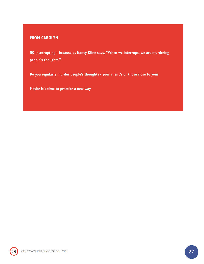#### FROM CAROLYN

NO interrupting - because as Nancy Kline says, "When we interrupt, we are murdering people's thoughts."

Do you regularly murder people's thoughts - your client's or those close to you?

Maybe it's time to practice a new way.

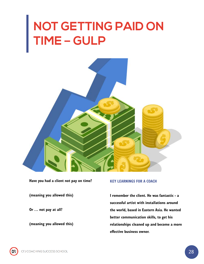## <span id="page-27-0"></span>**NOT GETTING PAID ON TIME – GULP**



Have you had a client not pay on time?

(meaning you allowed this)

Or … not pay at all?

(meaning you allowed this)

#### KEY LEARNINGS FOR A COACH

I remember the client. He was fantastic - a successful artist with installations around the world, based in Eastern Asia. He wanted better communication skills, to get his relationships cleaned up and become a more effective business owner.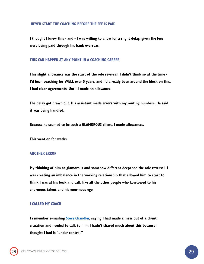#### NEVER START THE COACHING BEFORE THE FEE IS PAID

I thought I knew this - and - I was willing to allow for a slight delay, given the fees were being paid through his bank overseas.

#### THIS CAN HAPPEN AT ANY POINT IN A COACHING CAREER

This slight allowance was the start of the role reversal. I didn't think so at the time - I'd been coaching for WELL over 5 years, and I'd already been around the block on this. I had clear agreements. Until I made an allowance.

The delay got drawn out. His assistant made errors with my routing numbers. He said it was being handled.

Because he seemed to be such a GLAMOROUS client, I made allowances.

This went on for weeks.

#### ANOTHER ERROR

My thinking of him as glamorous and somehow different deepened the role reversal. I was creating an imbalance in the working relationship that allowed him to start to think I was at his beck and call, like all the other people who kowtowed to his enormous talent and his enormous ego.

#### I CALLED MY COACH

I remember e-mailing [Steve Chandler,](https://www.carolynfreyerjones.com/steve-chandler) saying I had made a mess out of a client situation and needed to talk to him. I hadn't shared much about this because I thought I had it "under control."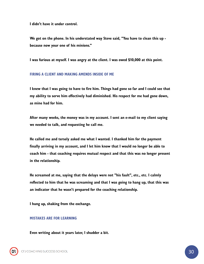I didn't have it under control.

We got on the phone. In his understated way Steve said, "You have to clean this up because now your one of his minions."

I was furious at myself. I was angry at the client. I was owed \$10,000 at this point.

#### FIRING A CLIENT AND MAKING AMENDS INSIDE OF ME

I knew that I was going to have to fire him. Things had gone so far and I could see that my ability to serve him effectively had diminished. His respect for me had gone down, as mine had for him.

After many weeks, the money was in my account. I sent an e-mail to my client saying we needed to talk, and requesting he call me.

He called me and tersely asked me what I wanted. I thanked him for the payment finally arriving in my account, and I let him know that I would no longer be able to coach him - that coaching requires mutual respect and that this was no longer present in the relationship.

He screamed at me, saying that the delays were not "his fault", etc., etc. I calmly reflected to him that he was screaming and that I was going to hang up, that this was an indicator that he wasn't prepared for the coaching relationship.

I hung up, shaking from the exchange.

#### MISTAKES ARE FOR LEARNING

Even writing about it years later, I shudder a bit.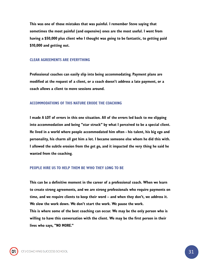This was one of those mistakes that was painful. I remember Steve saying that sometimes the most painful (and expensive) ones are the most useful. I went from having a \$50,000 plus client who I thought was going to be fantastic, to getting paid \$10,000 and getting out.

#### CLEAR AGREEMENTS ARE EVERYTHING

Professional coaches can easily slip into being accommodating. Payment plans are modified at the request of a client, or a coach doesn't address a late payment, or a coach allows a client to move sessions around.

#### ACCOMMODATIONS OF THIS NATURE ERODE THE COACHING

I made A LOT of errors in this one situation. All of the errors led back to me slipping into accommodation and being "star struck" by what I perceived to be a special client. He lived in a world where people accommodated him often - his talent, his big ego and personality, his charm all got him a lot. I became someone else whom he did this with. I allowed the subtle erosion from the get go, and it impacted the very thing he said he wanted from the coaching.

#### PEOPLE HIRE US TO HELP THEM BE WHO THEY LONG TO BE

This can be a definitive moment in the career of a professional coach. When we learn to create strong agreements, and we are strong professionals who require payments on time, and we require clients to keep their word – and when they don't, we address it. We slow the work down. We don't start the work. We pause the work.

This is where some of the best coaching can occur. We may be the only person who is willing to have this conversation with the client. We may be the first person in their lives who says, "NO MORE."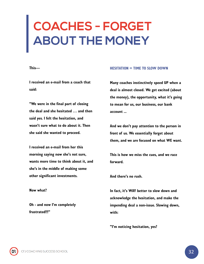## <span id="page-31-0"></span>**COACHES - FORGET ABOUT THE MONEY**

This—

I received an e-mail from a coach that said:

"We were in the final part of closing the deal and she hesitated … and then said yes. I felt the hesitation, and wasn't sure what to do about it. Then she said she wanted to proceed.

I received an e-mail from her this morning saying now she's not sure, wants more time to think about it, and she's in the middle of making some other significant investments.

Now what?

Oh - and now I'm completely frustrated!!!"

#### HESITATION = TIME TO SLOW DOWN

Many coaches instinctively speed UP when a deal is almost closed. We get excited (about the money), the opportunity, what it's going to mean for us, our business, our bank account ...

And we don't pay attention to the person in front of us. We essentially forget about them, and we are focused on what WE want.

This is how we miss the cues, and we race forward.

And there's no rush.

In fact, it's WAY better to slow down and acknowledge the hesitation, and make the impending deal a non-issue. Slowing down, with:

"I'm noticing hesitation, yes?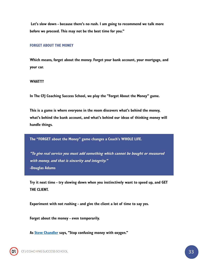Let's slow down - because there's no rush. I am going to recommend we talk more before we proceed. This may not be the best time for you."

#### FORGET ABOUT THE MONEY

Which means, forget about the money. Forget your bank account, your mortgage, and your car.

#### WHAT???

In The CFJ Coaching Success School, we play the "Forget About the Money" game.

This is a game is where everyone in the room discovers what's behind the money, what's behind the bank account, and what's behind our ideas of thinking money will handle things.

The "FORGET about the Money" game changes a Coach's WHOLE LIFE.

"To give real service you must add something which cannot be bought or measured with money, and that is sincerity and integrity." -Douglas Adams

Try it next time - try slowing down when you instinctively want to speed up, and GET THE CLIENT.

Experiment with not rushing - and give the client a lot of time to say yes.

Forget about the money - even temporarily.

As **[Steve Chandler](https://www.carolynfreyerjones.com/steve-chandler)** says, "Stop confusing money with oxygen."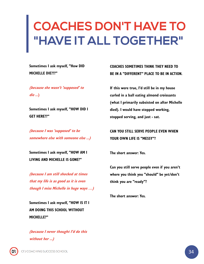### <span id="page-33-0"></span>**COACHES DON'T HAVE TO "HAVE IT ALL TOGETHER"**

Sometimes I ask myself, "How DID MICHELLE DIE???"

(because she wasn't 'supposed' to die ...)

Sometimes I ask myself, "HOW DID I GET HERE??"

(because I was 'supposed' to be somewhere else with someone else ...)

Sometimes I ask myself, "HOW AM I LIVING AND MICHELLE IS GONE?"

(because I am still shocked at times that my life is as good as it is even though I miss Michelle in huge ways …)

Sometimes I ask myself, "HOW IS IT I AM DOING THIS SCHOOL WITHOUT MICHELLE?"

(because I never thought I'd do this without her ...)

COACHES SOMETIMES THINK THEY NEED TO BE IN A "DIFFERENT" PLACE TO BE IN ACTION.

If this were true, I'd still be in my house curled in a ball eating almond croissants (what I primarily subsisted on after Michelle died). I would have stopped working, stopped serving, and just - sat.

### CAN YOU STILL SERVE PEOPLE EVEN WHEN YOUR OWN LIFE IS "MESSY"?

The short answer: Yes.

Can you still serve people even if you aren't where you think you "should" be yet/don't think you are "ready"?

The short answer: Yes.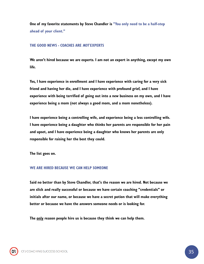One of my favorite statements by Steve Chandler is "You only need to be a half-step ahead of your client."

#### THE GOOD NEWS - COACHES ARE NOT EXPERTS

We aren't hired because we are experts. I am not an expert in anything, except my own life.

Yes, I have experience in enrollment and I have experience with caring for a very sick friend and having her die, and I have experience with profound grief, and I have experience with being terrified of going out into a new business on my own, and I have experience being a mom (not always a good mom, and a mom nonetheless).

I have experience being a controlling wife, and experience being a less controlling wife. I have experience being a daughter who thinks her parents are responsible for her pain and upset, and I have experience being a daughter who knows her parents are only responsible for raising her the best they could.

The list goes on.

#### WE ARE HIRED BECAUSE WE CAN HELP SOMEONE

Said no better than by Steve Chandler, that's the reason we are hired. Not because we are slick and really successful or because we have certain coaching "credentials" or initials after our name, or because we have a secret potion that will make everything better or because we have the answers someone needs or is looking for.

The only reason people hire us is because they think we can help them.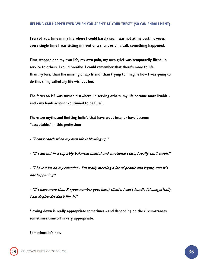#### HELPING CAN HAPPEN EVEN WHEN YOU AREN'T AT YOUR "BEST" (SO CAN ENROLLMENT).

I served at a time in my life where I could barely see. I was not at my best; however, every single time I was sitting in front of a client or on a call, something happened.

Time stopped and my own life, my own pain, my own grief was temporarily lifted. In service to others, I could breathe. I could remember that there's more to life than  $my$  loss, than the missing of  $my$  friend, than trying to imagine how I was going to do this thing called  $my$  life without her.

The focus on ME was turned elsewhere. In serving others, my life became more livable and - my bank account continued to be filled.

There are myths and limiting beliefs that have crept into, or have become "acceptable," in this profession:

- "I can't coach when my own life is blowing up."

- "If I am not in a superbly balanced mental and emotional state, I really can't enroll."

- "I have a lot on my calendar - I'm really meeting a lot of people and trying, and it's not happening."

- "If I have more than X (your number goes here) clients, I can't handle it/energetically I am depleted/I don't like it."

Slowing down is really appropriate sometimes - and depending on the circumstances, sometimes time off is very appropriate.

Sometimes it's not.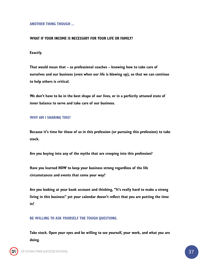ANOTHER THING THOUGH ...

#### WHAT IF YOUR INCOME IS NECESSARY FOR YOUR LIFE OR FAMILY?

Exactly.

That would mean that – as professional coaches – knowing how to take care of ourselves and our business (even when our life is blowing up), so that we can continue to help others is critical.

We don't have to be in the best shape of our lives, or in a perfectly attuned state of inner balance to serve and take care of our business.

#### WHY AM I SHARING THIS?

Because it's time for those of us in this profession (or pursuing this profession) to take stock.

Are you buying into any of the myths that are creeping into this profession?

Have you learned HOW to keep your business strong regardless of the life circumstances and events that come your way?

Are you looking at your bank account and thinking, "It's really hard to make a strong living in this business" yet your calendar doesn't reflect that you are putting the time in?

BE WILLING TO ASK YOURSELF THE TOUGH QUESTIONS.

Take stock. Open your eyes and be willing to see yourself, your work, and what you are doing.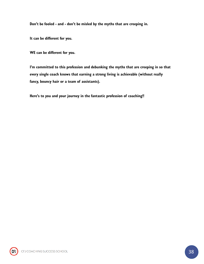Don't be fooled - and - don't be misled by the myths that are creeping in.

It can be different for you.

WE can be different for you.

I'm committed to this profession and debunking the myths that are creeping in so that every single coach knows that earning a strong living is achievable (without really fancy, bouncy hair or a team of assistants).

Here's to you and your journey in the fantastic profession of coaching!!

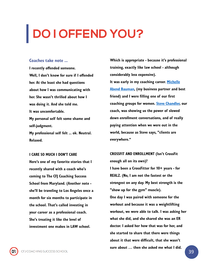# <span id="page-38-0"></span>**DO I OFFEND YOU?**

#### Coaches take note ...

I recently offended someone. Well, I don't know for sure if I offended her. At the least she had questions about how I was communicating with her. She wasn't thrilled about how I was doing it. And she told me. It was uncomfortable. My personal self felt some shame and self-judgment. My professional self felt ... ok. Neutral. Relaxed.

I CARE SO MUCH I DON'T CARE Here's one of my favorite stories that I recently shared with a coach who's coming to The CFJ Coaching Success School from Maryland. (Another note she'll be traveling to Los Angeles once a month for six months to participate in the school. That's called investing in your career as a professional coach. She's treating it like the level of investment one makes in LAW school.

Which is appropriate - because it's professional training, exactly like law school - although considerably less expensive). It was early in my coaching career. Michelle [Abend Bauman, \(my business partner and b](https://www.facebook.com/michelle.bauman?fref=mentions)est friend) and I were filling one of our first coaching groups for women. [Steve Chandler,](https://www.carolynfreyerjones.com/steve-chandler) our coach, was showing us the power of slowed down enrollment conversations, and of really paying attention when we were out in the world, because as Steve says, "clients are everywhere."

CROSSFIT AND ENROLLMENT (Isn't CrossFit enough all on its own)? I have been a CrossFitter for 10+ years - for REALZ. (No, I am not the fastest or the strongest on any day. My best strength is the "show up for the gym" muscle). One day I was paired with someone for the workout and because it was a weightlifting workout, we were able to talk. I was asking her what she did, and she shared she was an ER doctor. I asked her how that was for her, and she started to share that there were things about it that were difficult, that she wasn't sure about … then she asked me what I did.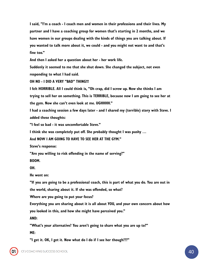I said, "I'm a coach - I coach men and women in their professions and their lives. My partner and I have a coaching group for women that's starting in 2 months, and we have women in our groups dealing with the kinds of things you are talking about. If you wanted to talk more about it, we could - and you might not want to and that's fine too."

And then I asked her a question about her - her work life.

Suddenly it seemed to me that she shut down. She changed the subject, not even responding to what I had said.

OH NO - I DID A VERY "BAD" THING!!!

I felt HORRIBLE. All I could think is, "Oh crap, did I screw up. Now she thinks I am trying to sell her on something. This is TERRIBLE, because now I am going to see her at the gym. Now she can't even look at me. UGHHHH."

I had a coaching session a few days later - and I shared my (terrible) story with Steve. I added these thoughts:

"I feel so bad - it was uncomfortable Steve."

I think she was completely put off. She probably thought I was pushy …

And NOW I AM GOING TO HAVE TO SEE HER AT THE GYM."

Steve's response:

"Are you willing to risk offending in the name of serving?"

BOOM.

OH.

He went on:

"If you are going to be a professional coach, this is part of what you do. You are out in

the world, sharing about it. If she was offended, so what?

Where are you going to put your focus?

Everything you are sharing about it is all about YOU, and your own concern about how

you looked in this, and how she might have perceived you."

AND:

"What's your alternative? You aren't going to share what you are up to?"

ME:

CFJ

"I get it. OK, I get it. Now what do I do if I see her though???"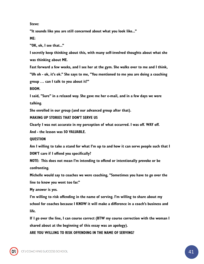Steve:

"It sounds like you are still concerned about what you look like..." ME:

"OK, ok, I see that..."

I secretly keep thinking about this, with many self-involved thoughts about what she was thinking about ME.

Fast forward a few weeks, and I see her at the gym. She walks over to me and I think, "Uh oh - ok, it's ok." She says to me, "You mentioned to me you are doing a coaching group … can I talk to you about it?"

BOOM.

I said, "Sure" in a relaxed way. She gave me her e-mail, and in a few days we were talking.

She enrolled in our group (and our advanced group after that).

MAKING UP STORIES THAT DON'T SERVE US

Clearly I was not accurate in my perception of what occurred. I was off. WAY off.

And - the lesson was SO VALUABLE.

QUESTION

Am I willing to take a stand for what I'm up to and how it can serve people such that I DON'T care if I offend you specifically?

NOTE: This does not mean I'm intending to offend or intentionally provoke or be confronting.

Michelle would say to coaches we were coaching, "Sometimes you have to go over the line to know you went too far."

My answer is yes.

I'm willing to risk offending in the name of serving. I'm willing to share about my school for coaches because I KNOW it will make a difference in a coach's business and life.

If I go over the line, I can course correct (BTW my course correction with the woman I shared about at the beginning of this essay was an apology).

ARE YOU WILLING TO RISK OFFENDING IN THE NAME OF SERVING?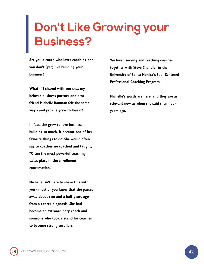### <span id="page-41-0"></span>**Don't Like Growing your Business?**

Are you a coach who loves coaching and you don't (yet) like building your business?

What if I shared with you that my beloved business partner and best friend Michelle Bauman felt the same way - and yet she grew to love it?

In fact, she grew to love business building so much, it became one of her favorite things to do. She would often say to coaches we coached and taught, "Often the most powerful coaching takes place in the enrollment conversation."

Michelle isn't here to share this with you - most of you know that she passed away about two and a half years ago from a cancer diagnosis. She had become an extraordinary coach and someone who took a stand for coaches to become strong enrollers.

We loved serving and teaching coaches together with Steve Chandler in the University of Santa Monica's Soul-Centered Professional Coaching Program.

Michelle's words are here, and they are as relevant now as when she said them four years ago.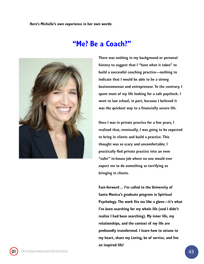Here's Michelle's own experience in her own words:





There was nothing in my background or personal history to suggest that I "have what it takes" to build a successful coaching practice—nothing to indicate that I would be able to be a strong businesswoman and entrepreneur. To the contrary, I spent most of my life looking for a safe paycheck. I went to law school, in part, because I believed it was the quickest way to a financially secure life.

Once I was in private practice for a few years, I realized that, eventually, I was going to be expected to bring in clients and build a practice. This thought was so scary and uncomfortable; I practically fled private practice into an even "safer" in-house job where no one would ever expect me to do something as terrifying as bringing in clients.

Fast-forward ... I'm called to the University of Santa Monica's graduate program in Spiritual Psychology. The work fits me like a glove—it's what I've been searching for my whole life (and I didn't realize I had been searching). My inner life, my relationships, and the context of my life are profoundly transformed. I learn how to attune to my heart, share my Loving, be of service, and live an inspired life!

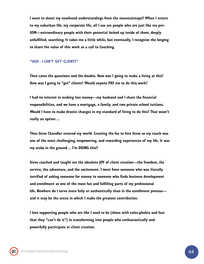I want to shout my newfound understandings from the mountaintops!! When I return to my suburban life, my corporate life, all I see are people who are just like me pre-USM—extraordinary people with their potential locked up inside of them, deeply unfulfilled, searching. It takes me a little while, but eventually, I recognize the longing to share the value of this work as a call to Coaching.

#### "UGH - I CAN'T 'GET' CLIENTS"

Then came the questions and the doubts. How was I going to make a living at this? How was I going to "get" clients? Would anyone PAY me to do this work?

I had no interest in making less money—my husband and I share the financial responsibilities, and we have a mortgage, a family, and two private school tuitions. Would I have to make drastic changes in my standard of living to do this? That wasn't really an option ...

Then Steve Chandler entered my world. Creating the fee to hire Steve as my coach was one of the most challenging, empowering, and rewarding experiences of my life. It was my stake in the ground ... I'm DOING this!!

Steve coached and taught me the absolute JOY of client creation—the freedom, the service, the adventure, and the excitement. I went from someone who was literally terrified of asking someone for money to someone who finds business development and enrollment as one of the most fun and fulfilling parts of my professional life. Nowhere do I serve more fully or authentically than in the enrollment process and it may be the arena in which I make the greatest contribution.

I love supporting people who are like I used to be (those with sales-phobia and fear that they "can't do it") in transforming into people who enthusiastically and powerfully participate in client creation.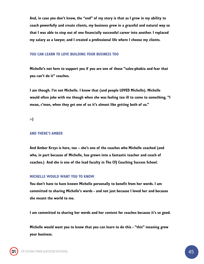And, in case you don't know, the "end" of my story is that as I grew in my ability to coach powerfully and create clients, my business grew in a graceful and natural way so that I was able to step out of one financially successful career into another. I replaced my salary as a lawyer, and I created a professional life where I choose my clients.

#### YOU CAN LEARN TO LOVE BUILDING YOUR BUSINESS TOO

Michelle's not here to support you if you are one of those "sales-phobia and fear that you can't do it" coaches.

I am though. I'm not Michelle. I know that (and people LOVED Michelle). Michelle would often joke with me though when she was feeling too ill to come to something, "I mean, c'mon, when they get one of us it's almost like getting both of us."

:-)

#### AND THERE'S AMBER

And Amber Krzys is here, too – she's one of the coaches who Michelle coached (and who, in part because of Michelle, has grown into a fantastic teacher and coach of coaches.) And she is one of the lead faculty in The CFJ Coaching Success School.

#### MICHELLE WOULD WANT YOU TO KNOW

You don't have to have known Michelle personally to benefit from her words. I am committed to sharing Michelle's words - and not just because I loved her and because she meant the world to me.

I am committed to sharing her words and her content for coaches because it's so good.

Michelle would want you to know that you can learn to do this - "this" meaning grow your business.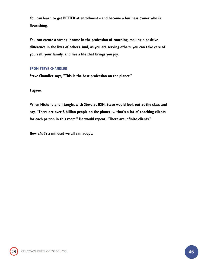You can learn to get BETTER at enrollment - and become a business owner who is flourishing.

You can create a strong income in the profession of coaching, making a positive difference in the lives of others. And, as you are serving others, you can take care of yourself, your family, and live a life that brings you joy.

#### FROM STEVE CHANDLER

Steve Chandler says, "This is the best profession on the planet."

I agree.

When Michelle and I taught with Steve at USM, Steve would look out at the class and say, "There are over 8 billion people on the planet … that's a lot of coaching clients for each person in this room." He would repeat, "There are infinite clients."

Now *that's* a mindset we all can adopt.

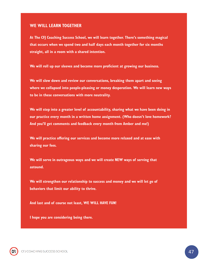#### WE WILL LEARN TOGETHER

At The CFJ Coaching Success School, we will learn together. There's something magical that occurs when we spend two and half days each month together for six months straight, all in a room with a shared intention.

We will roll up our sleeves and become more proficient at growing our business.

We will slow down and review our conversations, breaking them apart and seeing where we collapsed into people-pleasing or money desperation. We will learn new ways to be in these conversations with more neutrality.

We will step into a greater level of accountability, sharing what we have been doing in our practice every month in a written home assignment. (Who doesn't love homework? And you'll get comments and feedback every month from Amber and me!)

We will practice offering our services and become more relaxed and at ease with sharing our fees.

We will serve in outrageous ways and we will create NEW ways of serving that astound.

We will strengthen our relationship to success and money and we will let go of behaviors that limit our ability to thrive.

And last and of course not least, WE WILL HAVE FUN!

I hope you are considering being there.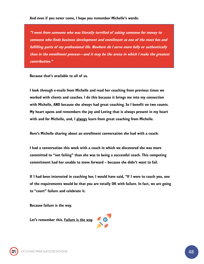#### And even if you never come, I hope you remember Michelle's words:

"I went from someone who was literally terrified of asking someone for money to someone who finds business development and enrollment as one of the most fun and fulfilling parts of my professional life. Nowhere do I serve more fully or authentically than in the enrollment process—and it may be the arena in which I make the greatest contribution."

Because that's available to all of us.

I look through e-mails from Michelle and read her coaching from previous times we worked with clients and coaches. I do this because it brings me into my connection with Michelle, AND because she always had great coaching. So I benefit on two counts. My heart opens and remembers the joy and Loving that is always present in my heart with and for Michelle, and, I always learn from great coaching from Michelle.

Here's Michelle sharing about an enrollment conversation she had with a coach:

I had a conversation this week with a coach in which we discovered she was more committed to "not failing" than she was to being a successful coach. This competing commitment had her unable to move forward – because she didn't want to fail.

If I had been interested in coaching her, I would have said, "If I were to coach you, one of the requirements would be that you are totally OK with failure. In fact, we are going to "court" failure and celebrate it.

Because failure is the way.

Let's remember this. Failure is the way.

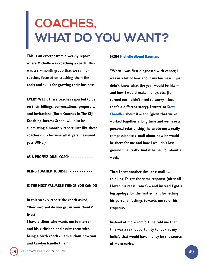### <span id="page-48-0"></span>**COACHES, WHAT DO YOU WANT?**

This is an excerpt from a weekly report where Michelle was coaching a coach. This was a six-month group that we ran for coaches, focused on teaching them the tools and skills for growing their business.

EVERY WEEK these coaches reported to us on their billings, conversations, proposals, and invitations (Note: Coaches in The CFJ Coaching Success School will also be submitting a monthly report just like these coaches did - because what gets measured gets DONE.)

AS A PROFESSIONAL COACH - - - - - - - - - -

BEING COACHED YOURSELF - - - - - - - - - -

#### IS THE MOST VALUABLE THINGS YOU CAN DO

In this weekly report the coach asked, "How involved do you get in your clients' lives?

I have a client who wants me to marry him and his girlfriend and assist them with being a birth coach - I am curious how you and Carolyn handle this?"

#### FROM [Michelle Abend Bauman](https://www.facebook.com/michelle.bauman):

"When I was first diagnosed with cancer, I was in a lot of fear about my business. I just didn't know what the year would be like – and how I would make money, etc. (It turned out I didn't need to worry – but that's a different story). I wrote to **Steve Chandler** about it – and (given that we've worked together a long time and we have a personal relationship) he wrote me a really compassionate e-mail about how he would be there for me and how I wouldn't lose ground financially. And it helped for about a week.

Then I sent another similar e-mail … thinking I'd get the same response (after all I loved his reassurance) – and instead I got a big apology for the first e-mail, for letting his personal feelings towards me color his response.

Instead of more comfort, he told me that this was a real opportunity to look at my beliefs that would have money be the source of my security.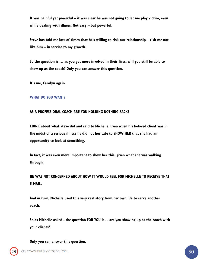It was painful yet powerful – it was clear he was not going to let me play victim, even while dealing with illness. Not easy – but powerful.

Steve has told me lots of times that he's willing to risk our relationship – risk me not like him – in service to my growth.

So the question is … as you get more involved in their lives, will you still be able to show up as the coach? Only you can answer this question.

It's me, Carolyn again.

#### WHAT DO YOU WANT?

#### AS A PROFESSIONAL COACH ARE YOU HOLDING NOTHING BACK?

THINK about what Steve did and said to Michelle. Even when his beloved client was in the midst of a serious illness he did not hesitate to SHOW HER that she had an opportunity to look at something.

In fact, it was even more important to show her this, given what she was walking through.

### HE WAS NOT CONCERNED ABOUT HOW IT WOULD FEEL FOR MICHELLE TO RECEIVE THAT E-MAIL.

And in turn, Michelle used this very real story from her own life to serve another coach.

So as Michelle asked - the question FOR YOU is . . are you showing up as the coach with your clients?

Only you can answer this question.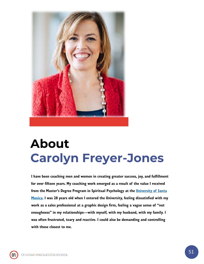

### **About Carolyn Freyer-Jones**

I have been coaching men and women in creating greater success, joy, and fulfillment for over fifteen years. My coaching work emerged as a result of the value I received from the Master's Degree Program in Spiritual Psychology at the University of Santa [Monica. I was 28 years old when I entered the University, feeling dissatisfied with my](http://www.universityofsantamonica.edu/) work as a sales professional at a graphic design firm, feeling a vague sense of "not enoughness" in my relationships—with myself, with my husband, with my family. I was often frustrated, teary and reactive. I could also be demanding and controlling with those closest to me.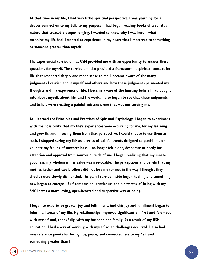At that time in my life, I had very little spiritual perspective. I was yearning for a deeper connection to my Self, to my purpose. I had begun reading books of a spiritual nature that created a deeper longing. I wanted to know why I was here—what meaning my life had. I wanted to experience in my heart that I mattered to something or someone greater than myself.

The experiential curriculum at USM provided me with an opportunity to answer these questions for myself. The curriculum also provided a framework, a spiritual context for life that resonated deeply and made sense to me. I became aware of the many judgments I carried about myself and others and how these judgments permeated my thoughts and my experience of life. I became aware of the limiting beliefs I had bought into about myself, about life, and the world. I also began to see that these judgments and beliefs were creating a painful existence, one that was not serving me.

As I learned the Principles and Practices of Spiritual Psychology, I began to experiment with the possibility that my life's experiences were occurring for me, for my learning and growth, and in seeing them from that perspective, I could choose to use them as such. I stopped seeing my life as a series of painful events designed to punish me or validate my feeling of unworthiness. I no longer felt alone, desperate or needy for attention and approval from sources outside of me. I began realizing that my innate goodness, my wholeness, my value was irrevocable. The perceptions and beliefs that my mother, father and two brothers did not love me (or not in the way I thought they should) were slowly dismantled. The pain I carried inside began healing and something new began to emerge—Self-compassion, gentleness and a new way of being with my Self. It was a more loving, open-hearted and supportive way of being.

I began to experience greater joy and fulfillment. And this joy and fulfillment began to inform all areas of my life. My relationships improved significantly—first and foremost with myself and, thankfully, with my husband and family. As a result of my USM education, I had a way of working with myself when challenges occurred. I also had new reference points for loving, joy, peace, and connectedness to my Self and something greater than I.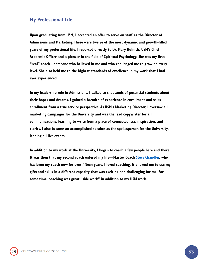### My Professional Life

Upon graduating from USM, I accepted an offer to serve on staff as the Director of Admissions and Marketing. These were twelve of the most dynamic and growth-filled years of my professional life. I reported directly to Dr. Mary Hulnick, USM's Chief Academic Officer and a pioneer in the field of Spiritual Psychology. She was my first "real" coach—someone who believed in me and who challenged me to grow on every level. She also held me to the highest standards of excellence in my work that I had ever experienced.

In my leadership role in Admissions, I talked to thousands of potential students about their hopes and dreams. I gained a breadth of experience in enrollment and sales enrollment from a true service perspective. As USM's Marketing Director, I oversaw all marketing campaigns for the University and was the lead copywriter for all communications, learning to write from a place of connectedness, inspiration, and clarity. I also became an accomplished speaker as the spokesperson for the University, leading all live events.

In addition to my work at the University, I began to coach a few people here and there. It was then that my second coach entered my life—Master Coach **Steve Chandler**, who has been my coach now for over fifteen years. I loved coaching. It allowed me to use my gifts and skills in a different capacity that was exciting and challenging for me. For some time, coaching was great "side work" in addition to my USM work.

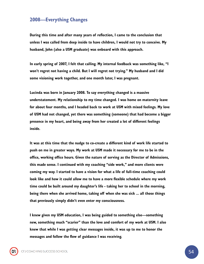#### 2008—Everything Changes

During this time and after many years of reflection, I came to the conclusion that unless I was called from deep inside to have children, I would not try to conceive. My husband, John (also a USM graduate) was onboard with this approach.

In early spring of 2007, I felt that calling. My internal feedback was something like, "I won't regret not having a child. But I will regret not trying." My husband and I did some visioning work together, and one month later, I was pregnant.

Lucinda was born in January 2008. To say everything changed is a massive understatement. My relationship to my time changed. I was home on maternity leave for about four months, and I headed back to work at USM with mixed feelings. My love of USM had not changed, yet there was something (someone) that had become a bigger presence in my heart, and being away from her created a lot of different feelings inside.

It was at this time that the nudge to co-create a different kind of work life started to push on me in greater ways. My work at USM made it necessary for me to be in the office, working office hours. Given the nature of serving as the Director of Admissions, this made sense. I continued with my coaching "side work," and more clients were coming my way. I started to have a vision for what a life of full-time coaching could look like and how it could allow me to have a more flexible schedule where my work time could be built around my daughter's life - taking her to school in the morning, being there when she arrived home, taking off when she was sick ... all those things that previously simply didn't even enter my consciousness.

I knew given my USM education, I was being guided to something else—something new, something much "scarier" than the love and comfort of my work at USM. I also knew that while I was getting clear messages inside, it was up to me to honor the messages and follow the flow of guidance I was receiving.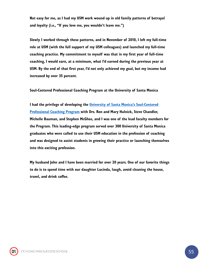Not easy for me, as I had my USM work wound up in old family patterns of betrayal and loyalty (i.e., "If you love me, you wouldn't leave me.")

Slowly I worked through these patterns, and in November of 2010, I left my full-time role at USM (with the full support of my USM colleagues) and launched my full-time coaching practice. My commitment to myself was that in my first year of full-time coaching, I would earn, at a minimum, what I'd earned during the previous year at USM. By the end of that first year, I'd not only achieved my goal, but my income had increased by over 35 percent.

Soul-Centered Professional Coaching Program at the University of Santa Monica

I had the privilege of developing the *University of Santa Monica's Soul-Centered* Professional Coaching Program [with Drs. Ron and Mary Hulnick, Steve Chandler,](http://www.universityofsantamonica.edu/program/scpc/)  Michelle Bauman, and Stephen McGhee, and I was one of the lead faculty members for the Program. This leading-edge program served over 300 University of Santa Monica graduates who were called to use their USM education in the profession of coaching and was designed to assist students in growing their practice or launching themselves into this exciting profession.

My husband John and I have been married for over 20 years. One of our favorite things to do is to spend time with our daughter Lucinda, laugh, avoid cleaning the house, travel, and drink coffee.

CFJ COACHING SUCCESS SCHOOL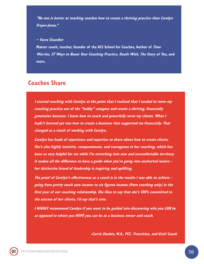"No one is better at teaching coaches how to create a thriving practice than Carolyn Freyer-Jones."

 $\sim$  Steve Chandler

Master coach, teacher, founder of the ACS School for Coaches, Author of Time Warrior, 37 Ways to Boost Your Coaching Practice, Death Wish, The Story of You, and more.

### Coaches Share

I started coaching with Carolyn at the point that I realized that I needed to move my coaching practice out of the "hobby" category and create a thriving, financially generative business. I knew how to coach and powerfully serve my clients. What I hadn't learned yet was how to create a business that supported me financially. That changed as a result of working with Carolyn.

Carolyn has loads of experience and expertise to share about how to create clients. She's also highly intuitive, compassionate, and courageous in her coaching, which has been so very helpful for me while I'm stretching into new and uncomfortable territory. It makes all the difference to have a guide when you're going into uncharted waters her distinctive brand of leadership is inspiring and uplifting.

The proof of Carolyn's effectiveness as a coach is in the results I was able to achieve going from pretty much zero income to six figures income (from coaching only) in the first year of our coaching relationship. She likes to say that she's 100% committed to the success of her clients. I'd say that's true.

I HIGHLY recommend Carolyn if you want to be guided into discovering who you CAN be as opposed to whom you HOPE you can be as a business owner and coach.

-Carrie Doubts, M.A., PCC, Transition, and Grief Coach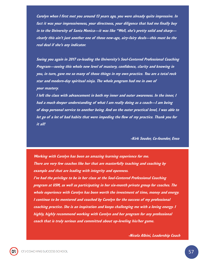Carolyn when I first met you around 13 years ago, you were already quite impressive. In fact it was your impressiveness, your directness, your diligence that had me finally buy in to the University of Santa Monica—it was like "Well, she's pretty solid and sharp clearly this ain't just another one of those new-age, airy-fairy deals—this must be the real deal if she's any indicator.

Seeing you again in 2017 co-leading the University's Soul-Centered Professional Coaching Program—seeing this whole new level of mastery, confidence, clarity and knowing in you, in turn, gave me so many of those things in my own practice. You are a total rock star and modern-day spiritual ninja. The whole program had me in awe of your mastery.

I left the class with advancement in both my inner and outer awareness. In the inner, I had a much deeper understanding of what I am really doing as a coach—I am being of deep personal service to another being. And on the outer practical level, I was able to let go of a lot of bad habits that were impeding the flow of my practice. Thank you for it all!

-Kirk Souder, Co-founder, Enso

Working with Carolyn has been an amazing learning experience for me. There are very few coaches like her that are masterfully teaching and coaching by example and that are leading with integrity and openness. I've had the privilege to be in her class at the Soul-Centered Professional Coaching program at USM, as well as participating in her six-month private group for coaches. The whole experience with Carolyn has been worth the investment of time, money and energy. I continue to be mentored and coached by Carolyn for the success of my professional coaching practice. She is an inspiration and keeps challenging me with a loving energy. I highly, highly recommend working with Carolyn and her program for any professional coach that is truly serious and committed about up-leveling his/her game.

-Nicola Albini, Leadership Coach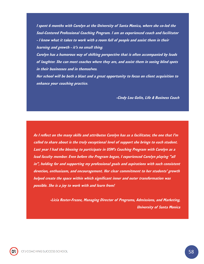I spent 6 months with Carolyn at the University of Santa Monica, where she co-led the Soul-Centered Professional Coaching Program. I am an experienced coach and facilitator - I know what it takes to work with a room full of people and assist them in their learning and growth - it's no small thing.

Carolyn has a humorous way of shifting perspective that is often accompanied by loads of laughter. She can meet coaches where they are, and assist them in seeing blind spots in their businesses and in themselves.

Her school will be both a blast and a great opportunity to focus on client acquisition to enhance your coaching practice.

-Cindy Lou Golin, Life & Business Coach

As I reflect on the many skills and attributes Carolyn has as a facilitator, the one that I'm called to share about is the truly exceptional level of support she brings to each student. Last year I had the blessing to participate in USM's Coaching Program with Carolyn as a lead faculty member. Even before the Program began, I experienced Carolyn playing "all in", holding for and supporting my professional goals and aspirations with such consistent devotion, enthusiasm, and encouragement. Her clear commitment to her students' growth helped create the space within which significant inner and outer transformation was possible. She is a joy to work with and learn from!

> -Licia Rester-Frazee, Managing Director of Programs, Admissions, and Marketing, University of Santa Monica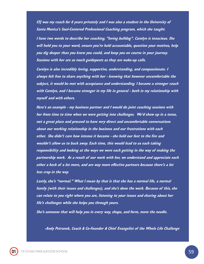CFJ was my coach for 6 years privately and I was also a student in the University of Santa Monica's Soul-Centered Professional Coaching program, which she taught.

I have two words to describe her coaching, "loving bulldog". Carolyn is tenacious. She will hold you to your word, ensure you're held accountable, question your motives, help you dig deeper than you knew you could, and keep you on course in your journey. Sessions with her are as much guideposts as they are wake-up calls.

Carolyn is also incredibly loving, supportive, understanding, and compassionate. I always felt free to share anything with her - knowing that however uncomfortable the subject, it would be met with acceptance and understanding. I became a stronger coach with Carolyn, and I became stronger in my life in general - both in my relationship with myself and with others.

Here's an example - my business partner and I would do joint coaching sessions with her from time to time when we were getting into challenges. We'd show up in a tense, not a great place and proceed to have very direct and uncomfortable conversations about our working relationship in the business and our frustrations with each other. She didn't care how intense it became - she held our feet to the fire and wouldn't allow us to back away. Each time, this would lead to us each taking responsibility and looking at the ways we were each getting in the way of making the partnership work. As a result of our work with her, we understand and appreciate each other a heck of a lot more, and are way more effective partners because there's a lot less crap in the way.

Lastly, she's "normal." What I mean by that is that she has a normal life, a normal family (with their issues and challenges), and she's done the work. Because of this, she can relate to you right where you are, listening to your issues and sharing about her life's challenges while she helps you through yours.

She's someone that will help you in every way, shape, and form, move the needle.

-Andy Petranek, Coach & Co-Founder & Chief Evangelist of the Whole Life Challenge